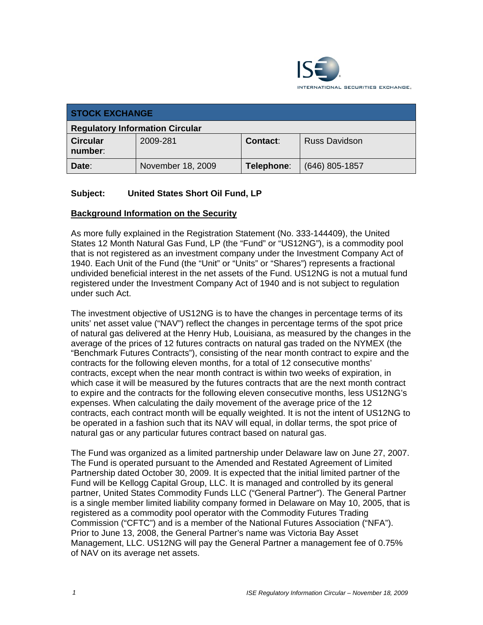

| <b>STOCK EXCHANGE</b>                  |                   |            |                      |  |
|----------------------------------------|-------------------|------------|----------------------|--|
| <b>Regulatory Information Circular</b> |                   |            |                      |  |
| <b>Circular</b><br>number:             | 2009-281          | Contact:   | <b>Russ Davidson</b> |  |
| Date:                                  | November 18, 2009 | Telephone: | $(646)$ 805-1857     |  |

# **Subject: United States Short Oil Fund, LP**

#### **Background Information on the Security**

As more fully explained in the Registration Statement (No. 333-144409), the United States 12 Month Natural Gas Fund, LP (the "Fund" or "US12NG"), is a commodity pool that is not registered as an investment company under the Investment Company Act of 1940. Each Unit of the Fund (the "Unit" or "Units" or "Shares") represents a fractional undivided beneficial interest in the net assets of the Fund. US12NG is not a mutual fund registered under the Investment Company Act of 1940 and is not subject to regulation under such Act.

The investment objective of US12NG is to have the changes in percentage terms of its units' net asset value ("NAV") reflect the changes in percentage terms of the spot price of natural gas delivered at the Henry Hub, Louisiana, as measured by the changes in the average of the prices of 12 futures contracts on natural gas traded on the NYMEX (the "Benchmark Futures Contracts"), consisting of the near month contract to expire and the contracts for the following eleven months, for a total of 12 consecutive months' contracts, except when the near month contract is within two weeks of expiration, in which case it will be measured by the futures contracts that are the next month contract to expire and the contracts for the following eleven consecutive months, less US12NG's expenses. When calculating the daily movement of the average price of the 12 contracts, each contract month will be equally weighted. It is not the intent of US12NG to be operated in a fashion such that its NAV will equal, in dollar terms, the spot price of natural gas or any particular futures contract based on natural gas.

The Fund was organized as a limited partnership under Delaware law on June 27, 2007. The Fund is operated pursuant to the Amended and Restated Agreement of Limited Partnership dated October 30, 2009. It is expected that the initial limited partner of the Fund will be Kellogg Capital Group, LLC. It is managed and controlled by its general partner, United States Commodity Funds LLC ("General Partner"). The General Partner is a single member limited liability company formed in Delaware on May 10, 2005, that is registered as a commodity pool operator with the Commodity Futures Trading Commission ("CFTC") and is a member of the National Futures Association ("NFA"). Prior to June 13, 2008, the General Partner's name was Victoria Bay Asset Management, LLC. US12NG will pay the General Partner a management fee of 0.75% of NAV on its average net assets.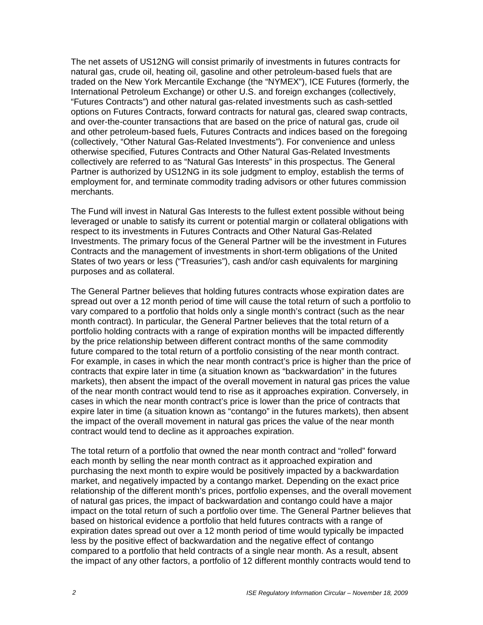The net assets of US12NG will consist primarily of investments in futures contracts for natural gas, crude oil, heating oil, gasoline and other petroleum-based fuels that are traded on the New York Mercantile Exchange (the "NYMEX"), ICE Futures (formerly, the International Petroleum Exchange) or other U.S. and foreign exchanges (collectively, "Futures Contracts") and other natural gas-related investments such as cash-settled options on Futures Contracts, forward contracts for natural gas, cleared swap contracts, and over-the-counter transactions that are based on the price of natural gas, crude oil and other petroleum-based fuels, Futures Contracts and indices based on the foregoing (collectively, "Other Natural Gas-Related Investments"). For convenience and unless otherwise specified, Futures Contracts and Other Natural Gas-Related Investments collectively are referred to as "Natural Gas Interests" in this prospectus. The General Partner is authorized by US12NG in its sole judgment to employ, establish the terms of employment for, and terminate commodity trading advisors or other futures commission merchants.

The Fund will invest in Natural Gas Interests to the fullest extent possible without being leveraged or unable to satisfy its current or potential margin or collateral obligations with respect to its investments in Futures Contracts and Other Natural Gas-Related Investments. The primary focus of the General Partner will be the investment in Futures Contracts and the management of investments in short-term obligations of the United States of two years or less ("Treasuries"), cash and/or cash equivalents for margining purposes and as collateral.

The General Partner believes that holding futures contracts whose expiration dates are spread out over a 12 month period of time will cause the total return of such a portfolio to vary compared to a portfolio that holds only a single month's contract (such as the near month contract). In particular, the General Partner believes that the total return of a portfolio holding contracts with a range of expiration months will be impacted differently by the price relationship between different contract months of the same commodity future compared to the total return of a portfolio consisting of the near month contract. For example, in cases in which the near month contract's price is higher than the price of contracts that expire later in time (a situation known as "backwardation" in the futures markets), then absent the impact of the overall movement in natural gas prices the value of the near month contract would tend to rise as it approaches expiration. Conversely, in cases in which the near month contract's price is lower than the price of contracts that expire later in time (a situation known as "contango" in the futures markets), then absent the impact of the overall movement in natural gas prices the value of the near month contract would tend to decline as it approaches expiration.

The total return of a portfolio that owned the near month contract and "rolled" forward each month by selling the near month contract as it approached expiration and purchasing the next month to expire would be positively impacted by a backwardation market, and negatively impacted by a contango market. Depending on the exact price relationship of the different month's prices, portfolio expenses, and the overall movement of natural gas prices, the impact of backwardation and contango could have a major impact on the total return of such a portfolio over time. The General Partner believes that based on historical evidence a portfolio that held futures contracts with a range of expiration dates spread out over a 12 month period of time would typically be impacted less by the positive effect of backwardation and the negative effect of contango compared to a portfolio that held contracts of a single near month. As a result, absent the impact of any other factors, a portfolio of 12 different monthly contracts would tend to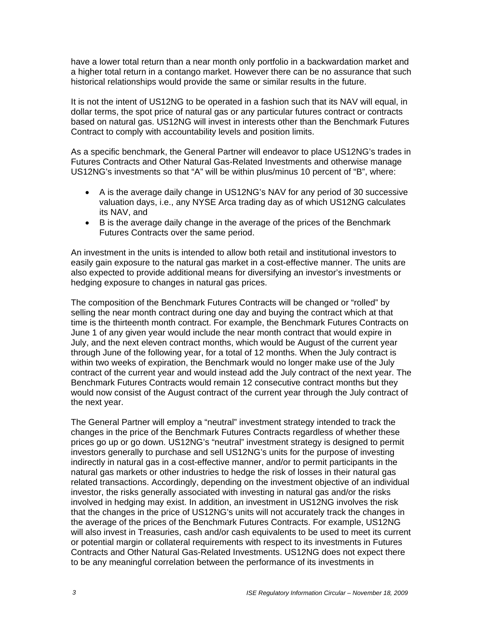have a lower total return than a near month only portfolio in a backwardation market and a higher total return in a contango market. However there can be no assurance that such historical relationships would provide the same or similar results in the future.

It is not the intent of US12NG to be operated in a fashion such that its NAV will equal, in dollar terms, the spot price of natural gas or any particular futures contract or contracts based on natural gas. US12NG will invest in interests other than the Benchmark Futures Contract to comply with accountability levels and position limits.

As a specific benchmark, the General Partner will endeavor to place US12NG's trades in Futures Contracts and Other Natural Gas-Related Investments and otherwise manage US12NG's investments so that "A" will be within plus/minus 10 percent of "B", where:

- A is the average daily change in US12NG's NAV for any period of 30 successive valuation days, i.e., any NYSE Arca trading day as of which US12NG calculates its NAV, and
- B is the average daily change in the average of the prices of the Benchmark Futures Contracts over the same period.

An investment in the units is intended to allow both retail and institutional investors to easily gain exposure to the natural gas market in a cost-effective manner. The units are also expected to provide additional means for diversifying an investor's investments or hedging exposure to changes in natural gas prices.

The composition of the Benchmark Futures Contracts will be changed or "rolled" by selling the near month contract during one day and buying the contract which at that time is the thirteenth month contract. For example, the Benchmark Futures Contracts on June 1 of any given year would include the near month contract that would expire in July, and the next eleven contract months, which would be August of the current year through June of the following year, for a total of 12 months. When the July contract is within two weeks of expiration, the Benchmark would no longer make use of the July contract of the current year and would instead add the July contract of the next year. The Benchmark Futures Contracts would remain 12 consecutive contract months but they would now consist of the August contract of the current year through the July contract of the next year.

The General Partner will employ a "neutral" investment strategy intended to track the changes in the price of the Benchmark Futures Contracts regardless of whether these prices go up or go down. US12NG's "neutral" investment strategy is designed to permit investors generally to purchase and sell US12NG's units for the purpose of investing indirectly in natural gas in a cost-effective manner, and/or to permit participants in the natural gas markets or other industries to hedge the risk of losses in their natural gas related transactions. Accordingly, depending on the investment objective of an individual investor, the risks generally associated with investing in natural gas and/or the risks involved in hedging may exist. In addition, an investment in US12NG involves the risk that the changes in the price of US12NG's units will not accurately track the changes in the average of the prices of the Benchmark Futures Contracts. For example, US12NG will also invest in Treasuries, cash and/or cash equivalents to be used to meet its current or potential margin or collateral requirements with respect to its investments in Futures Contracts and Other Natural Gas-Related Investments. US12NG does not expect there to be any meaningful correlation between the performance of its investments in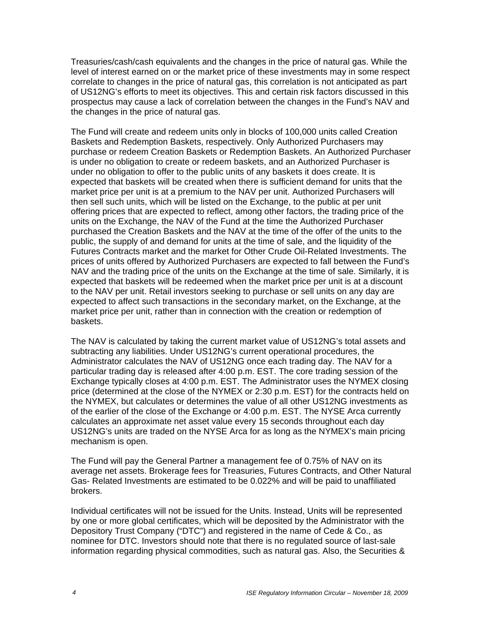Treasuries/cash/cash equivalents and the changes in the price of natural gas. While the level of interest earned on or the market price of these investments may in some respect correlate to changes in the price of natural gas, this correlation is not anticipated as part of US12NG's efforts to meet its objectives. This and certain risk factors discussed in this prospectus may cause a lack of correlation between the changes in the Fund's NAV and the changes in the price of natural gas.

The Fund will create and redeem units only in blocks of 100,000 units called Creation Baskets and Redemption Baskets, respectively. Only Authorized Purchasers may purchase or redeem Creation Baskets or Redemption Baskets. An Authorized Purchaser is under no obligation to create or redeem baskets, and an Authorized Purchaser is under no obligation to offer to the public units of any baskets it does create. It is expected that baskets will be created when there is sufficient demand for units that the market price per unit is at a premium to the NAV per unit. Authorized Purchasers will then sell such units, which will be listed on the Exchange, to the public at per unit offering prices that are expected to reflect, among other factors, the trading price of the units on the Exchange, the NAV of the Fund at the time the Authorized Purchaser purchased the Creation Baskets and the NAV at the time of the offer of the units to the public, the supply of and demand for units at the time of sale, and the liquidity of the Futures Contracts market and the market for Other Crude Oil-Related Investments. The prices of units offered by Authorized Purchasers are expected to fall between the Fund's NAV and the trading price of the units on the Exchange at the time of sale. Similarly, it is expected that baskets will be redeemed when the market price per unit is at a discount to the NAV per unit. Retail investors seeking to purchase or sell units on any day are expected to affect such transactions in the secondary market, on the Exchange, at the market price per unit, rather than in connection with the creation or redemption of baskets.

The NAV is calculated by taking the current market value of US12NG's total assets and subtracting any liabilities. Under US12NG's current operational procedures, the Administrator calculates the NAV of US12NG once each trading day. The NAV for a particular trading day is released after 4:00 p.m. EST. The core trading session of the Exchange typically closes at 4:00 p.m. EST. The Administrator uses the NYMEX closing price (determined at the close of the NYMEX or 2:30 p.m. EST) for the contracts held on the NYMEX, but calculates or determines the value of all other US12NG investments as of the earlier of the close of the Exchange or 4:00 p.m. EST. The NYSE Arca currently calculates an approximate net asset value every 15 seconds throughout each day US12NG's units are traded on the NYSE Arca for as long as the NYMEX's main pricing mechanism is open.

The Fund will pay the General Partner a management fee of 0.75% of NAV on its average net assets. Brokerage fees for Treasuries, Futures Contracts, and Other Natural Gas- Related Investments are estimated to be 0.022% and will be paid to unaffiliated brokers.

Individual certificates will not be issued for the Units. Instead, Units will be represented by one or more global certificates, which will be deposited by the Administrator with the Depository Trust Company ("DTC") and registered in the name of Cede & Co., as nominee for DTC. Investors should note that there is no regulated source of last-sale information regarding physical commodities, such as natural gas. Also, the Securities &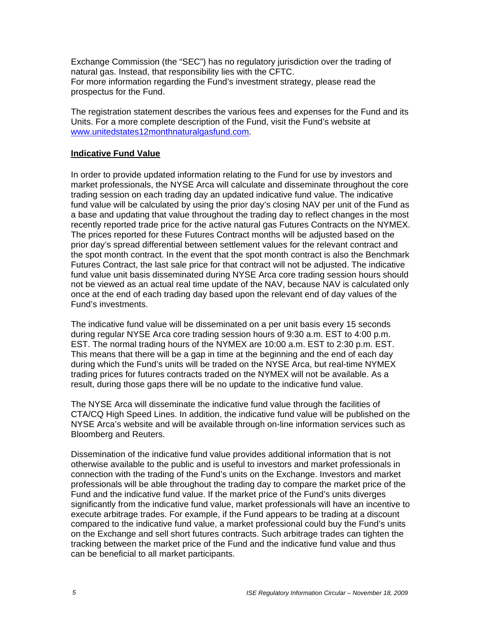Exchange Commission (the "SEC") has no regulatory jurisdiction over the trading of natural gas. Instead, that responsibility lies with the CFTC. For more information regarding the Fund's investment strategy, please read the prospectus for the Fund.

The registration statement describes the various fees and expenses for the Fund and its Units. For a more complete description of the Fund, visit the Fund's website at www.unitedstates12monthnaturalgasfund.com.

#### **Indicative Fund Value**

In order to provide updated information relating to the Fund for use by investors and market professionals, the NYSE Arca will calculate and disseminate throughout the core trading session on each trading day an updated indicative fund value. The indicative fund value will be calculated by using the prior day's closing NAV per unit of the Fund as a base and updating that value throughout the trading day to reflect changes in the most recently reported trade price for the active natural gas Futures Contracts on the NYMEX. The prices reported for these Futures Contract months will be adjusted based on the prior day's spread differential between settlement values for the relevant contract and the spot month contract. In the event that the spot month contract is also the Benchmark Futures Contract, the last sale price for that contract will not be adjusted. The indicative fund value unit basis disseminated during NYSE Arca core trading session hours should not be viewed as an actual real time update of the NAV, because NAV is calculated only once at the end of each trading day based upon the relevant end of day values of the Fund's investments.

The indicative fund value will be disseminated on a per unit basis every 15 seconds during regular NYSE Arca core trading session hours of 9:30 a.m. EST to 4:00 p.m. EST. The normal trading hours of the NYMEX are 10:00 a.m. EST to 2:30 p.m. EST. This means that there will be a gap in time at the beginning and the end of each day during which the Fund's units will be traded on the NYSE Arca, but real-time NYMEX trading prices for futures contracts traded on the NYMEX will not be available. As a result, during those gaps there will be no update to the indicative fund value.

The NYSE Arca will disseminate the indicative fund value through the facilities of CTA/CQ High Speed Lines. In addition, the indicative fund value will be published on the NYSE Arca's website and will be available through on-line information services such as Bloomberg and Reuters.

Dissemination of the indicative fund value provides additional information that is not otherwise available to the public and is useful to investors and market professionals in connection with the trading of the Fund's units on the Exchange. Investors and market professionals will be able throughout the trading day to compare the market price of the Fund and the indicative fund value. If the market price of the Fund's units diverges significantly from the indicative fund value, market professionals will have an incentive to execute arbitrage trades. For example, if the Fund appears to be trading at a discount compared to the indicative fund value, a market professional could buy the Fund's units on the Exchange and sell short futures contracts. Such arbitrage trades can tighten the tracking between the market price of the Fund and the indicative fund value and thus can be beneficial to all market participants.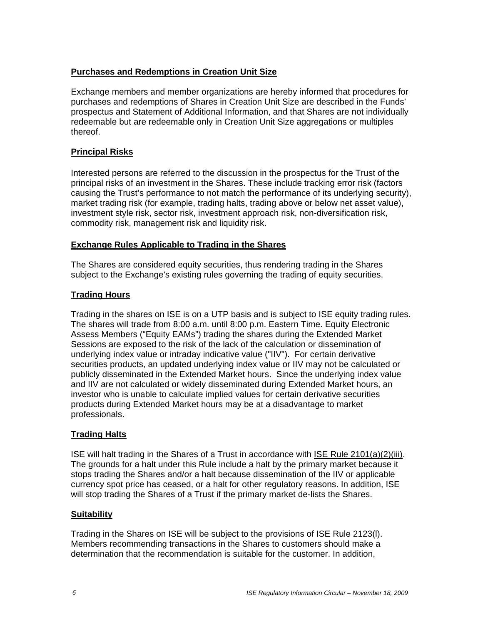## **Purchases and Redemptions in Creation Unit Size**

Exchange members and member organizations are hereby informed that procedures for purchases and redemptions of Shares in Creation Unit Size are described in the Funds' prospectus and Statement of Additional Information, and that Shares are not individually redeemable but are redeemable only in Creation Unit Size aggregations or multiples thereof.

# **Principal Risks**

Interested persons are referred to the discussion in the prospectus for the Trust of the principal risks of an investment in the Shares. These include tracking error risk (factors causing the Trust's performance to not match the performance of its underlying security), market trading risk (for example, trading halts, trading above or below net asset value), investment style risk, sector risk, investment approach risk, non-diversification risk, commodity risk, management risk and liquidity risk.

#### **Exchange Rules Applicable to Trading in the Shares**

The Shares are considered equity securities, thus rendering trading in the Shares subject to the Exchange's existing rules governing the trading of equity securities.

# **Trading Hours**

Trading in the shares on ISE is on a UTP basis and is subject to ISE equity trading rules. The shares will trade from 8:00 a.m. until 8:00 p.m. Eastern Time. Equity Electronic Assess Members ("Equity EAMs") trading the shares during the Extended Market Sessions are exposed to the risk of the lack of the calculation or dissemination of underlying index value or intraday indicative value ("IIV"). For certain derivative securities products, an updated underlying index value or IIV may not be calculated or publicly disseminated in the Extended Market hours. Since the underlying index value and IIV are not calculated or widely disseminated during Extended Market hours, an investor who is unable to calculate implied values for certain derivative securities products during Extended Market hours may be at a disadvantage to market professionals.

#### **Trading Halts**

ISE will halt trading in the Shares of a Trust in accordance with ISE Rule 2101(a)(2)(iii). The grounds for a halt under this Rule include a halt by the primary market because it stops trading the Shares and/or a halt because dissemination of the IIV or applicable currency spot price has ceased, or a halt for other regulatory reasons. In addition, ISE will stop trading the Shares of a Trust if the primary market de-lists the Shares.

#### **Suitability**

Trading in the Shares on ISE will be subject to the provisions of ISE Rule 2123(l). Members recommending transactions in the Shares to customers should make a determination that the recommendation is suitable for the customer. In addition,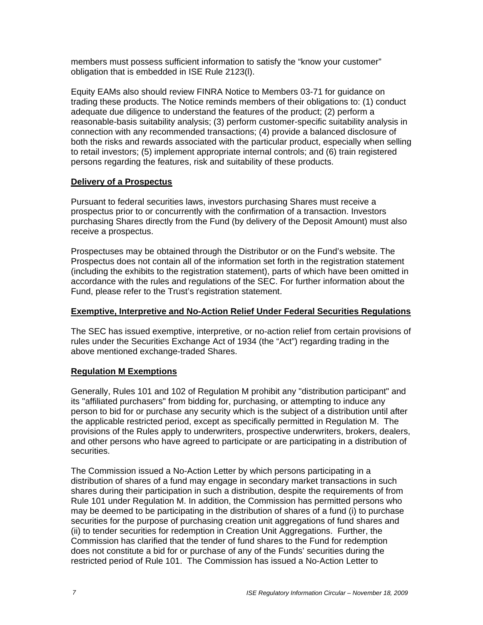members must possess sufficient information to satisfy the "know your customer" obligation that is embedded in ISE Rule 2123(l).

Equity EAMs also should review FINRA Notice to Members 03-71 for guidance on trading these products. The Notice reminds members of their obligations to: (1) conduct adequate due diligence to understand the features of the product; (2) perform a reasonable-basis suitability analysis; (3) perform customer-specific suitability analysis in connection with any recommended transactions; (4) provide a balanced disclosure of both the risks and rewards associated with the particular product, especially when selling to retail investors; (5) implement appropriate internal controls; and (6) train registered persons regarding the features, risk and suitability of these products.

# **Delivery of a Prospectus**

Pursuant to federal securities laws, investors purchasing Shares must receive a prospectus prior to or concurrently with the confirmation of a transaction. Investors purchasing Shares directly from the Fund (by delivery of the Deposit Amount) must also receive a prospectus.

Prospectuses may be obtained through the Distributor or on the Fund's website. The Prospectus does not contain all of the information set forth in the registration statement (including the exhibits to the registration statement), parts of which have been omitted in accordance with the rules and regulations of the SEC. For further information about the Fund, please refer to the Trust's registration statement.

# **Exemptive, Interpretive and No-Action Relief Under Federal Securities Regulations**

The SEC has issued exemptive, interpretive, or no-action relief from certain provisions of rules under the Securities Exchange Act of 1934 (the "Act") regarding trading in the above mentioned exchange-traded Shares.

# **Regulation M Exemptions**

Generally, Rules 101 and 102 of Regulation M prohibit any "distribution participant" and its "affiliated purchasers" from bidding for, purchasing, or attempting to induce any person to bid for or purchase any security which is the subject of a distribution until after the applicable restricted period, except as specifically permitted in Regulation M. The provisions of the Rules apply to underwriters, prospective underwriters, brokers, dealers, and other persons who have agreed to participate or are participating in a distribution of securities.

The Commission issued a No-Action Letter by which persons participating in a distribution of shares of a fund may engage in secondary market transactions in such shares during their participation in such a distribution, despite the requirements of from Rule 101 under Regulation M. In addition, the Commission has permitted persons who may be deemed to be participating in the distribution of shares of a fund (i) to purchase securities for the purpose of purchasing creation unit aggregations of fund shares and (ii) to tender securities for redemption in Creation Unit Aggregations. Further, the Commission has clarified that the tender of fund shares to the Fund for redemption does not constitute a bid for or purchase of any of the Funds' securities during the restricted period of Rule 101. The Commission has issued a No-Action Letter to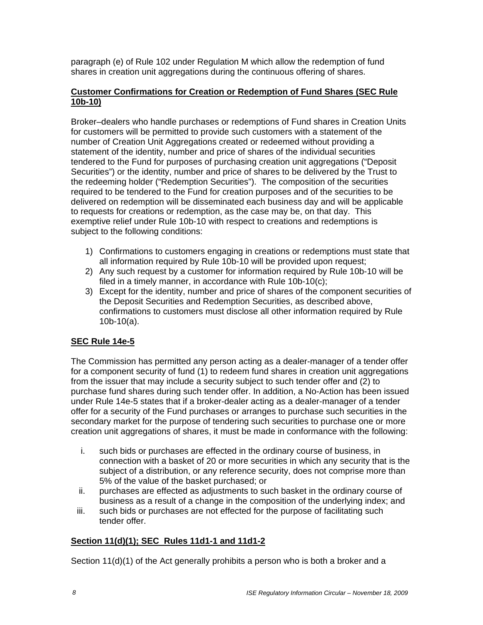paragraph (e) of Rule 102 under Regulation M which allow the redemption of fund shares in creation unit aggregations during the continuous offering of shares.

## **Customer Confirmations for Creation or Redemption of Fund Shares (SEC Rule 10b-10)**

Broker–dealers who handle purchases or redemptions of Fund shares in Creation Units for customers will be permitted to provide such customers with a statement of the number of Creation Unit Aggregations created or redeemed without providing a statement of the identity, number and price of shares of the individual securities tendered to the Fund for purposes of purchasing creation unit aggregations ("Deposit Securities") or the identity, number and price of shares to be delivered by the Trust to the redeeming holder ("Redemption Securities"). The composition of the securities required to be tendered to the Fund for creation purposes and of the securities to be delivered on redemption will be disseminated each business day and will be applicable to requests for creations or redemption, as the case may be, on that day. This exemptive relief under Rule 10b-10 with respect to creations and redemptions is subject to the following conditions:

- 1) Confirmations to customers engaging in creations or redemptions must state that all information required by Rule 10b-10 will be provided upon request;
- 2) Any such request by a customer for information required by Rule 10b-10 will be filed in a timely manner, in accordance with Rule 10b-10(c);
- 3) Except for the identity, number and price of shares of the component securities of the Deposit Securities and Redemption Securities, as described above, confirmations to customers must disclose all other information required by Rule 10b-10(a).

# **SEC Rule 14e-5**

The Commission has permitted any person acting as a dealer-manager of a tender offer for a component security of fund (1) to redeem fund shares in creation unit aggregations from the issuer that may include a security subject to such tender offer and (2) to purchase fund shares during such tender offer. In addition, a No-Action has been issued under Rule 14e-5 states that if a broker-dealer acting as a dealer-manager of a tender offer for a security of the Fund purchases or arranges to purchase such securities in the secondary market for the purpose of tendering such securities to purchase one or more creation unit aggregations of shares, it must be made in conformance with the following:

- i. such bids or purchases are effected in the ordinary course of business, in connection with a basket of 20 or more securities in which any security that is the subject of a distribution, or any reference security, does not comprise more than 5% of the value of the basket purchased; or
- ii. purchases are effected as adjustments to such basket in the ordinary course of business as a result of a change in the composition of the underlying index; and
- iii. such bids or purchases are not effected for the purpose of facilitating such tender offer.

#### **Section 11(d)(1); SEC Rules 11d1-1 and 11d1-2**

Section 11(d)(1) of the Act generally prohibits a person who is both a broker and a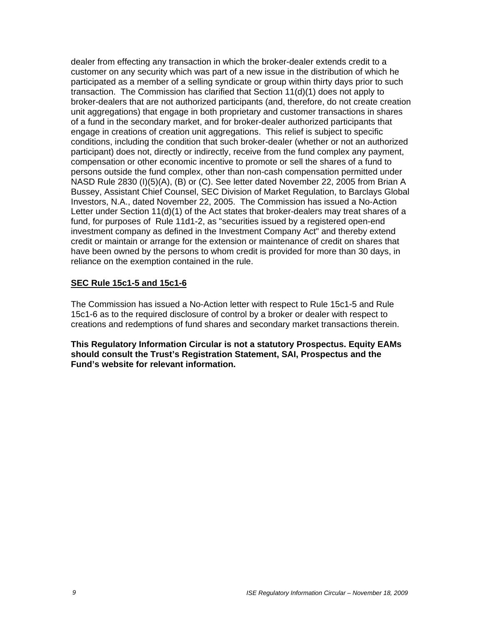dealer from effecting any transaction in which the broker-dealer extends credit to a customer on any security which was part of a new issue in the distribution of which he participated as a member of a selling syndicate or group within thirty days prior to such transaction. The Commission has clarified that Section 11(d)(1) does not apply to broker-dealers that are not authorized participants (and, therefore, do not create creation unit aggregations) that engage in both proprietary and customer transactions in shares of a fund in the secondary market, and for broker-dealer authorized participants that engage in creations of creation unit aggregations. This relief is subject to specific conditions, including the condition that such broker-dealer (whether or not an authorized participant) does not, directly or indirectly, receive from the fund complex any payment, compensation or other economic incentive to promote or sell the shares of a fund to persons outside the fund complex, other than non-cash compensation permitted under NASD Rule 2830 (I)(5)(A), (B) or (C). See letter dated November 22, 2005 from Brian A Bussey, Assistant Chief Counsel, SEC Division of Market Regulation, to Barclays Global Investors, N.A., dated November 22, 2005. The Commission has issued a No-Action Letter under Section 11(d)(1) of the Act states that broker-dealers may treat shares of a fund, for purposes of Rule 11d1-2, as "securities issued by a registered open-end investment company as defined in the Investment Company Act" and thereby extend credit or maintain or arrange for the extension or maintenance of credit on shares that have been owned by the persons to whom credit is provided for more than 30 days, in reliance on the exemption contained in the rule.

#### **SEC Rule 15c1-5 and 15c1-6**

The Commission has issued a No-Action letter with respect to Rule 15c1-5 and Rule 15c1-6 as to the required disclosure of control by a broker or dealer with respect to creations and redemptions of fund shares and secondary market transactions therein.

**This Regulatory Information Circular is not a statutory Prospectus. Equity EAMs should consult the Trust's Registration Statement, SAI, Prospectus and the Fund's website for relevant information.**